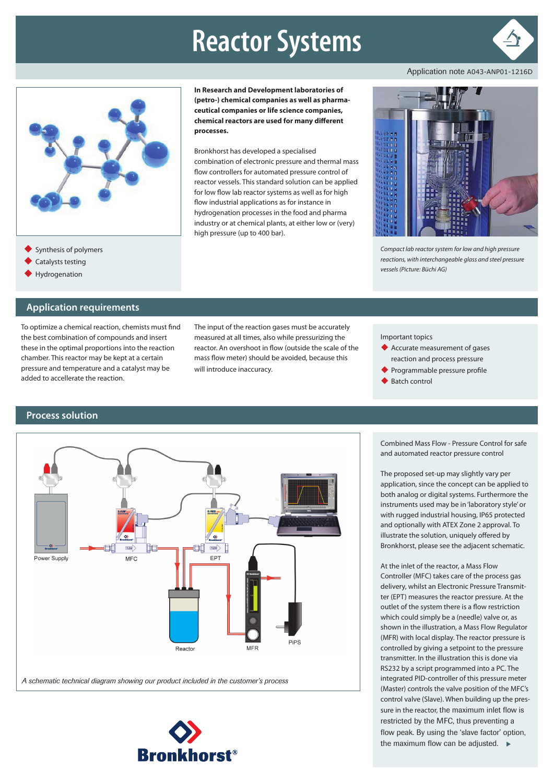# **Reactor Systems**



Application note A043-ANP01-1216D



**In Research and Development laboratories of (petro-) chemical companies as well as pharmaceutical companies or life science companies, chemical reactors are used for many different processes.**

Bronkhorst has developed a specialised combination of electronic pressure and thermal mass flow controllers for automated pressure control of reactor vessels. This standard solution can be applied for low flow lab reactor systems as well as for high flow industrial applications as for instance in hydrogenation processes in the food and pharma industry or at chemical plants, at either low or (very) high pressure (up to 400 bar).



*Compact lab reactor system for low and high pressure reactions, with interchangeable glass and steel pressure vessels (Picture: Büchi AG)*

- Synthesis of polymers
- Catalysts testing
- Hydrogenation

## **Application requirements**

To optimize a chemical reaction, chemists must find the best combination of compounds and insert these in the optimal proportions into the reaction chamber. This reactor may be kept at a certain pressure and temperature and a catalyst may be added to accellerate the reaction.

The input of the reaction gases must be accurately measured at all times, also while pressurizing the reactor. An overshoot in flow (outside the scale of the mass flow meter) should be avoided, because this will introduce inaccuracy.

Important topics

- Accurate measurement of gases reaction and process pressure
- Programmable pressure profile
- Batch control

#### **Process solution**



*A schematic technical diagram showing our product included in the customer's process*



Combined Mass Flow - Pressure Control for safe and automated reactor pressure control

The proposed set-up may slightly vary per application, since the concept can be applied to both analog or digital systems. Furthermore the instruments used may be in 'laboratory style' or with rugged industrial housing, IP65 protected and optionally with ATEX Zone 2 approval. To illustrate the solution, uniquely offered by Bronkhorst, please see the adjacent schematic.

At the inlet of the reactor, a Mass Flow Controller (MFC) takes care of the process gas delivery, whilst an Electronic Pressure Transmitter (EPT) measures the reactor pressure. At the outlet of the system there is a flow restriction which could simply be a (needle) valve or, as shown in the illustration, a Mass Flow Regulator (MFR) with local display. The reactor pressure is controlled by giving a setpoint to the pressure transmitter. In the illustration this is done via RS232 by a script programmed into a PC. The integrated PID-controller of this pressure meter (Master) controls the valve position of the MFC's control valve (Slave). When building up the pressure in the reactor, the maximum inlet flow is restricted by the MFC, thus preventing a flow peak. By using the 'slave factor' option, the maximum flow can be adjusted.  $\blacktriangleright$